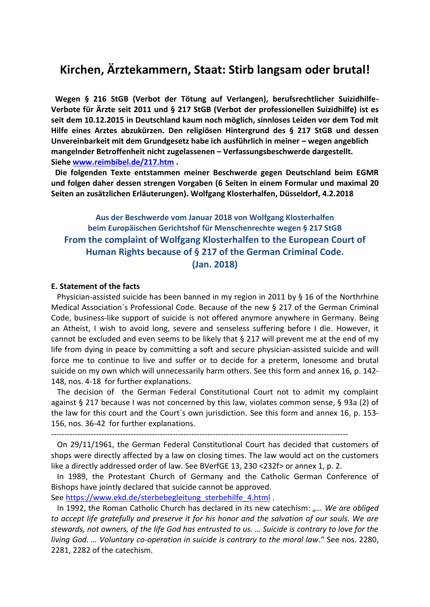# **Kirchen, Ärztekammern, Staat: Stirb langsam oder brutal!**

 **Wegen § 216 StGB (Verbot der Tötung auf Verlangen), berufsrechtlicher Suizidhilfe-Verbote für Ärzte seit 2011 und § 217 StGB (Verbot der professionellen Suizidhilfe) ist es seit dem 10.12.2015 in Deutschland kaum noch möglich, sinnloses Leiden vor dem Tod mit Hilfe eines Arztes abzukürzen. Den religiösen Hintergrund des § 217 StGB und dessen Unvereinbarkeit mit dem Grundgesetz habe ich ausführlich in meiner – wegen angeblich mangelnder Betroffenheit nicht zugelassenen – Verfassungsbeschwerde dargestellt. Siehe [www.reimbibel.de/217.htm](http://www.reimbibel.de/217.htm) .**

 **Die folgenden Texte entstammen meiner Beschwerde gegen Deutschland beim EGMR und folgen daher dessen strengen Vorgaben (6 Seiten in einem Formular und maximal 20 Seiten an zusätzlichen Erläuterungen). Wolfgang Klosterhalfen, Düsseldorf, 4.2.2018**

**Aus der Beschwerde vom Januar 2018 von Wolfgang Klosterhalfen beim Europäischen Gerichtshof für Menschenrechte wegen § 217 StGB From the complaint of Wolfgang Klosterhalfen to the European Court of Human Rights because of § 217 of the German Criminal Code. (Jan. 2018)**

### **E. Statement of the facts**

 Physician-assisted suicide has been banned in my region in 2011 by § 16 of the Northrhine Medical Association´s Professional Code. Because of the new § 217 of the German Criminal Code, business-like support of suicide is not offered anymore anywhere in Germany. Being an Atheist, I wish to avoid long, severe and senseless suffering before I die. However, it cannot be excluded and even seems to be likely that § 217 will prevent me at the end of my life from dying in peace by committing a soft and secure physician-assisted suicide and will force me to continue to live and suffer or to decide for a preterm, lonesome and brutal suicide on my own which will unnecessarily harm others. See this form and annex 16, p. 142- 148, nos. 4-18 for further explanations.

 The decision of the German Federal Constitutional Court not to admit my complaint against § 217 because I was not concerned by this law, violates common sense, § 93a (2) of the law for this court and the Court´s own jurisdiction. See this form and annex 16, p. 153- 156, nos. 36-42 for further explanations.

----------------------------------------------------------------------------------------------------------------

 On 29/11/1961, the German Federal Constitutional Court has decided that customers of shops were directly affected by a law on closing times. The law would act on the customers like a directly addressed order of law. See BVerfGE 13, 230 <232f> or annex 1, p. 2.

 In 1989, the Protestant Church of Germany and the Catholic German Conference of Bishops have jointly declared that suicide cannot be approved.

See https://www.ekd.de/sterbebegleitung sterbehilfe 4.html.

In 1992, the Roman Catholic Church has declared in its new catechism: "... We are obliged *to accept life gratefully and preserve it for his honor and the salvation of our souls. We are stewards, not owners, of the life God has entrusted to us. … Suicide is contrary to love for the living God. … Voluntary co-operation in suicide is contrary to the moral law*." See nos. 2280, 2281, 2282 of the catechism.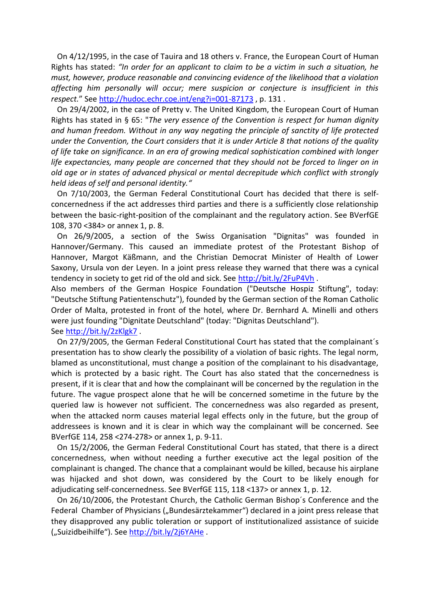On 4/12/1995, in the case of Tauira and 18 others v. France, the European Court of Human Rights has stated: *"In order for an applicant to claim to be a victim in such a situation, he must, however, produce reasonable and convincing evidence of the likelihood that a violation affecting him personally will occur; mere suspicion or conjecture is insufficient in this respect.*" See <http://hudoc.echr.coe.int/eng?i=001-87173> , p. 131 .

 On 29/4/2002, in the case of Pretty v. The United Kingdom, the European Court of Human Rights has stated in § 65: "*The very essence of the Convention is respect for human dignity and human freedom. Without in any way negating the principle of sanctity of life protected under the Convention, the Court considers that it is under Article 8 that notions of the quality of life take on significance. In an era of growing medical sophistication combined with longer*  life expectancies, many people are concerned that they should not be forced to linger on in *old age or in states of advanced physical or mental decrepitude which conflict with strongly held ideas of self and personal identity."*

On 7/10/2003, the German Federal Constitutional Court has decided that there is selfconcernedness if the act addresses third parties and there is a sufficiently close relationship between the basic-right-position of the complainant and the regulatory action. See BVerfGE 108, 370 <384> or annex 1, p. 8.

 On 26/9/2005, a section of the Swiss Organisation "Dignitas" was founded in Hannover/Germany. This caused an immediate protest of the Protestant Bishop of Hannover, Margot Käßmann, and the Christian Democrat Minister of Health of Lower Saxony, Ursula von der Leyen. In a joint press release they warned that there was a cynical tendency in society to get rid of the old and sick. See<http://bit.ly/2FuP4Vh>.

Also members of the German Hospice Foundation ("Deutsche Hospiz Stiftung", today: "Deutsche Stiftung Patientenschutz"), founded by the German section of the Roman Catholic Order of Malta, protested in front of the hotel, where Dr. Bernhard A. Minelli and others were just founding "Dignitate Deutschland" (today: "Dignitas Deutschland"). See<http://bit.ly/2zKlgk7> .

 On 27/9/2005, the German Federal Constitutional Court has stated that the complainant´s presentation has to show clearly the possibility of a violation of basic rights. The legal norm, blamed as unconstitutional, must change a position of the complainant to his disadvantage, which is protected by a basic right. The Court has also stated that the concernedness is present, if it is clear that and how the complainant will be concerned by the regulation in the future. The vague prospect alone that he will be concerned sometime in the future by the queried law is however not sufficient. The concernedness was also regarded as present, when the attacked norm causes material legal effects only in the future, but the group of addressees is known and it is clear in which way the complainant will be concerned. See BVerfGE 114, 258 <274-278> or annex 1, p. 9-11.

 On 15/2/2006, the German Federal Constitutional Court has stated, that there is a direct concernedness, when without needing a further executive act the legal position of the complainant is changed. The chance that a complainant would be killed, because his airplane was hijacked and shot down, was considered by the Court to be likely enough for adjudicating self-concernedness. See BVerfGE 115, 118 <137> or annex 1, p. 12.

 On 26/10/2006, the Protestant Church, the Catholic German Bishop´s Conference and the Federal Chamber of Physicians ("Bundesärztekammer") declared in a joint press release that they disapproved any public toleration or support of institutionalized assistance of suicide ("Suizidbeihilfe"). See<http://bit.ly/2j6YAHe>.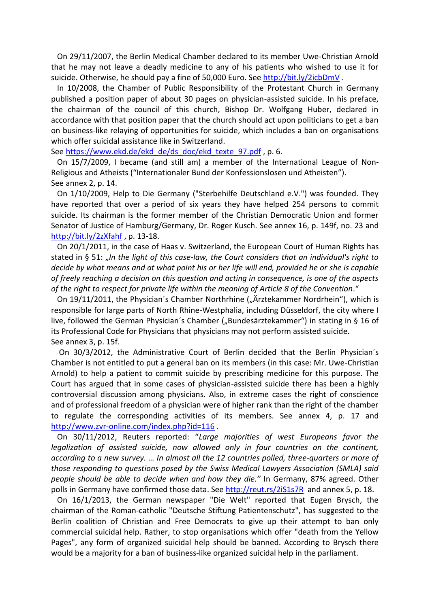On 29/11/2007, the Berlin Medical Chamber declared to its member Uwe-Christian Arnold that he may not leave a deadly medicine to any of his patients who wished to use it for suicide. Otherwise, he should pay a fine of 50,000 Euro. See <http://bit.ly/2icbDmV> .

 In 10/2008, the Chamber of Public Responsibility of the Protestant Church in Germany published a position paper of about 30 pages on physician-assisted suicide. In his preface, the chairman of the council of this church, Bishop Dr. Wolfgang Huber, declared in accordance with that position paper that the church should act upon politicians to get a ban on business-like relaying of opportunities for suicide, which includes a ban on organisations which offer suicidal assistance like in Switzerland.

See [https://www.ekd.de/ekd\\_de/ds\\_doc/ekd\\_texte\\_97.pdf](https://www.ekd.de/ekd_de/ds_doc/ekd_texte_97.pdf), p. 6.

 On 15/7/2009, I became (and still am) a member of the International League of Non-Religious and Atheists ("Internationaler Bund der Konfessionslosen und Atheisten"). See annex 2, p. 14.

 On 1/10/2009, Help to Die Germany ("Sterbehilfe Deutschland e.V.") was founded. They have reported that over a period of six years they have helped 254 persons to commit suicide. Its chairman is the former member of the Christian Democratic Union and former Senator of Justice of Hamburg/Germany, Dr. Roger Kusch. See annex 16, p. 149f, no. 23 and <http://bit.ly/2zXfahf> , p. 13-18.

 On 20/1/2011, in the case of Haas v. Switzerland, the European Court of Human Rights has stated in § 51: "In the light of this case-law, the Court considers that an individual's right to *decide by what means and at what point his or her life will end, provided he or she is capable of freely reaching a decision on this question and acting in consequence, is one of the aspects of the right to respect for private life within the meaning of Article 8 of the Convention*."

On 19/11/2011, the Physician's Chamber Northrhine ("Ärztekammer Nordrhein"), which is responsible for large parts of North Rhine-Westphalia, including Düsseldorf, the city where I live, followed the German Physician's Chamber ("Bundesärztekammer") in stating in § 16 of its Professional Code for Physicians that physicians may not perform assisted suicide. See annex 3, p. 15f.

 On 30/3/2012, the Administrative Court of Berlin decided that the Berlin Physician´s Chamber is not entitled to put a general ban on its members (in this case: Mr. Uwe-Christian Arnold) to help a patient to commit suicide by prescribing medicine for this purpose. The Court has argued that in some cases of physician-assisted suicide there has been a highly controversial discussion among physicians. Also, in extreme cases the right of conscience and of professional freedom of a physician were of higher rank than the right of the chamber to regulate the corresponding activities of its members. See annex 4, p. 17 and <http://www.zvr-online.com/index.php?id=116>.

 On 30/11/2012, Reuters reported: "*Large majorities of west Europeans favor the legalization of assisted suicide, now allowed only in four countries on the continent, according to a new survey. … In almost all the 12 countries polled, three-quarters or more of those responding to questions posed by the Swiss Medical Lawyers Association (SMLA) said people should be able to decide when and how they die."* In Germany, 87% agreed. Other polls in Germany have confirmed those data. See<http://reut.rs/2iS1s7R> and annex 5, p. 18.

 On 16/1/2013, the German newspaper "Die Welt" reported that Eugen Brysch, the chairman of the Roman-catholic "Deutsche Stiftung Patientenschutz", has suggested to the Berlin coalition of Christian and Free Democrats to give up their attempt to ban only commercial suicidal help. Rather, to stop organisations which offer "death from the Yellow Pages", any form of organized suicidal help should be banned. According to Brysch there would be a majority for a ban of business-like organized suicidal help in the parliament.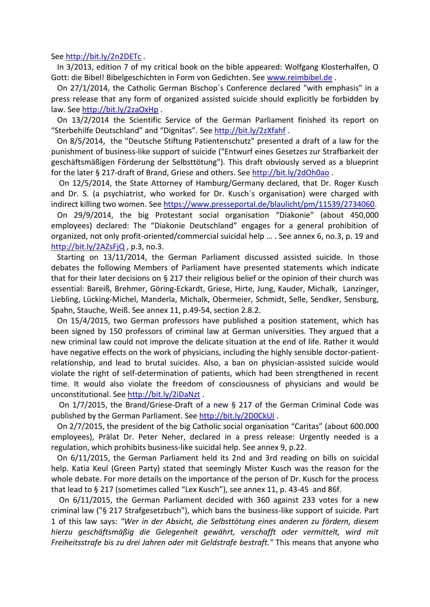See<http://bit.ly/2n2DETc> .

 In 3/2013, edition 7 of my critical book on the bible appeared: Wolfgang Klosterhalfen, O Gott: die Bibel! Bibelgeschichten in Form von Gedichten. See [www.reimbibel.de](http://www.reimbibel.de/) .

 On 27/1/2014, the Catholic German Bischop´s Conference declared "with emphasis" in a press release that any form of organized assisted suicide should explicitly be forbidden by law. See <http://bit.ly/2zaOxHp> .

 On 13/2/2014 the Scientific Service of the German Parliament finished its report on "Sterbehilfe Deutschland" and "Dignitas". See<http://bit.ly/2zXfahf> .

 On 8/5/2014, the "Deutsche Stiftung Patientenschutz" presented a draft of a law for the punishment of business-like support of suicide ("Entwurf eines Gesetzes zur Strafbarkeit der geschäftsmäßigen Förderung der Selbsttötung"). This draft obviously served as a blueprint for the later § 217-draft of Brand, Griese and others. See<http://bit.ly/2dOh0ao> .

 On 12/5/2014, the State Attorney of Hamburg/Germany declared, that Dr. Roger Kusch and Dr. S. (a psychiatrist, who worked for Dr. Kusch´s organisation) were charged with indirect killing two women. See [https://www.presseportal.de/blaulicht/pm/11539/2734060.](https://www.presseportal.de/blaulicht/pm/11539/2734060)

 On 29/9/2014, the big Protestant social organisation "Diakonie" (about 450,000 employees) declared: The "Diakonie Deutschland" engages for a general prohibition of organized, not only profit-oriented/commercial suicidal help … . See annex 6, no.3, p. 19 and  $http://bit.ly/2AZsFiQ, p.3, no.3.$ 

 Starting on 13/11/2014, the German Parliament discussed assisted suicide. In those debates the following Members of Parliament have presented statements which indicate that for their later decisions on § 217 their religious belief or the opinion of their church was essential: Bareiß, Brehmer, Göring-Eckardt, Griese, Hirte, Jung, Kauder, Michalk, Lanzinger, Liebling, Lücking-Michel, Manderla, Michalk, Obermeier, Schmidt, Selle, Sendker, Sensburg, Spahn, Stauche, Weiß. See annex 11, p.49-54, section 2.8.2.

 On 15/4/2015, two German professors have published a position statement, which has been signed by 150 professors of criminal law at German universities. They argued that a new criminal law could not improve the delicate situation at the end of life. Rather it would have negative effects on the work of physicians, including the highly sensible doctor-patientrelationship, and lead to brutal suicides. Also, a ban on physician-assisted suicide would violate the right of self-determination of patients, which had been strengthened in recent time. It would also violate the freedom of consciousness of physicians and would be unconstitutional. See <http://bit.ly/2iDaNzt> .

 On 1/7/2015, the Brand/Griese-Draft of a new § 217 of the German Criminal Code was published by the German Parliament. See <http://bit.ly/2D0CkUI>.

 On 2/7/2015, the president of the big Catholic social organisation "Caritas" (about 600.000 employees), Prälat Dr. Peter Neher, declared in a press release: Urgently needed is a regulation, which prohibits business-like suicidal help. See annex 9, p.22.

 On 6/11/2015, the German Parliament held its 2nd and 3rd reading on bills on suicidal help. Katia Keul (Green Party) stated that seemingly Mister Kusch was the reason for the whole debate. For more details on the importance of the person of Dr. Kusch for the process that lead to § 217 (sometimes called "Lex Kusch"), see annex 11, p. 43-45 and 86f.

 On 6/11/2015, the German Parliament decided with 360 against 233 votes for a new criminal law ("§ 217 Strafgesetzbuch"), which bans the business-like support of suicide. Part 1 of this law says: *"Wer in der Absicht, die Selbsttötung eines anderen zu fördern, diesem hierzu geschäftsmäßig die Gelegenheit gewährt, verschafft oder vermittelt, wird mit Freiheitsstrafe bis zu drei Jahren oder mit Geldstrafe bestraft."* This means that anyone who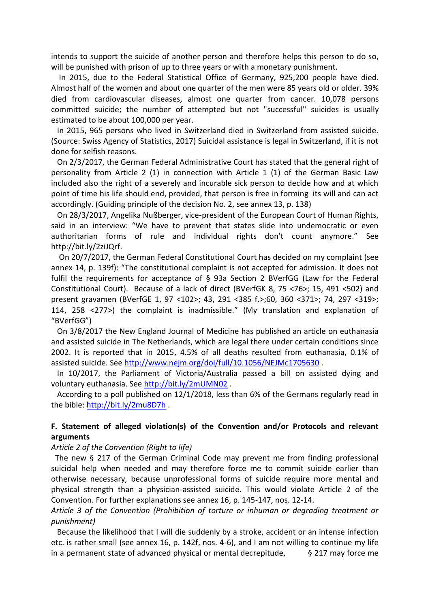intends to support the suicide of another person and therefore helps this person to do so, will be punished with prison of up to three years or with a monetary punishment.

 In 2015, due to the Federal Statistical Office of Germany, 925,200 people have died. Almost half of the women and about one quarter of the men were 85 years old or older. 39% died from cardiovascular diseases, almost one quarter from cancer. 10,078 persons committed suicide; the number of attempted but not "successful" suicides is usually estimated to be about 100,000 per year.

 In 2015, 965 persons who lived in Switzerland died in Switzerland from assisted suicide. (Source: Swiss Agency of Statistics, 2017) Suicidal assistance is legal in Switzerland, if it is not done for selfish reasons.

 On 2/3/2017, the German Federal Administrative Court has stated that the general right of personality from Article 2 (1) in connection with Article 1 (1) of the German Basic Law included also the right of a severely and incurable sick person to decide how and at which point of time his life should end, provided, that person is free in forming its will and can act accordingly. (Guiding principle of the decision No. 2, see annex 13, p. 138)

 On 28/3/2017, Angelika Nußberger, vice-president of the European Court of Human Rights, said in an interview: "We have to prevent that states slide into undemocratic or even authoritarian forms of rule and individual rights don't count anymore." See http://bit.ly/2ziJQrf.

 On 20/7/2017, the German Federal Constitutional Court has decided on my complaint (see annex 14, p. 139f): "The constitutional complaint is not accepted for admission. It does not fulfil the requirements for acceptance of § 93a Section 2 BVerfGG (Law for the Federal Constitutional Court). Because of a lack of direct (BVerfGK 8, 75 <76>; 15, 491 <502) and present gravamen (BVerfGE 1, 97 <102>; 43, 291 <385 f.>;60, 360 <371>; 74, 297 <319>; 114, 258 <277>) the complaint is inadmissible." (My translation and explanation of "BVerfGG")

 On 3/8/2017 the New England Journal of Medicine has published an article on euthanasia and assisted suicide in The Netherlands, which are legal there under certain conditions since 2002. It is reported that in 2015, 4.5% of all deaths resulted from euthanasia, 0.1% of assisted suicide. See<http://www.nejm.org/doi/full/10.1056/NEJMc1705630> .

 In 10/2017, the Parliament of Victoria/Australia passed a bill on assisted dying and voluntary euthanasia. See <http://bit.ly/2mUMN02> .

 According to a poll published on 12/1/2018, less than 6% of the Germans regularly read in the bible:<http://bit.ly/2mu8D7h> .

### **F. Statement of alleged violation(s) of the Convention and/or Protocols and relevant arguments**

### *Article 2 of the Convention (Right to life)*

 The new § 217 of the German Criminal Code may prevent me from finding professional suicidal help when needed and may therefore force me to commit suicide earlier than otherwise necessary, because unprofessional forms of suicide require more mental and physical strength than a physician-assisted suicide. This would violate Article 2 of the Convention. For further explanations see annex 16, p. 145-147, nos. 12-14.

*Article 3 of the Convention (Prohibition of torture or inhuman or degrading treatment or punishment)*

 Because the likelihood that I will die suddenly by a stroke, accident or an intense infection etc. is rather small (see annex 16, p. 142f, nos. 4-6), and I am not willing to continue my life in a permanent state of advanced physical or mental decrepitude,  $\frac{1}{2}$  217 may force me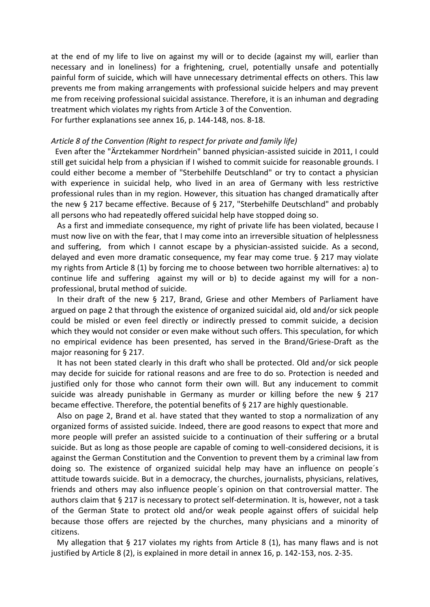at the end of my life to live on against my will or to decide (against my will, earlier than necessary and in loneliness) for a frightening, cruel, potentially unsafe and potentially painful form of suicide, which will have unnecessary detrimental effects on others. This law prevents me from making arrangements with professional suicide helpers and may prevent me from receiving professional suicidal assistance. Therefore, it is an inhuman and degrading treatment which violates my rights from Article 3 of the Convention.

For further explanations see annex 16, p. 144-148, nos. 8-18.

### *Article 8 of the Convention (Right to respect for private and family life)*

 Even after the "Ärztekammer Nordrhein" banned physician-assisted suicide in 2011, I could still get suicidal help from a physician if I wished to commit suicide for reasonable grounds. I could either become a member of "Sterbehilfe Deutschland" or try to contact a physician with experience in suicidal help, who lived in an area of Germany with less restrictive professional rules than in my region. However, this situation has changed dramatically after the new § 217 became effective. Because of § 217, "Sterbehilfe Deutschland" and probably all persons who had repeatedly offered suicidal help have stopped doing so.

 As a first and immediate consequence, my right of private life has been violated, because I must now live on with the fear, that I may come into an irreversible situation of helplessness and suffering, from which I cannot escape by a physician-assisted suicide. As a second, delayed and even more dramatic consequence, my fear may come true. § 217 may violate my rights from Article 8 (1) by forcing me to choose between two horrible alternatives: a) to continue life and suffering against my will or b) to decide against my will for a nonprofessional, brutal method of suicide.

 In their draft of the new § 217, Brand, Griese and other Members of Parliament have argued on page 2 that through the existence of organized suicidal aid, old and/or sick people could be misled or even feel directly or indirectly pressed to commit suicide, a decision which they would not consider or even make without such offers. This speculation, for which no empirical evidence has been presented, has served in the Brand/Griese-Draft as the major reasoning for § 217.

 It has not been stated clearly in this draft who shall be protected. Old and/or sick people may decide for suicide for rational reasons and are free to do so. Protection is needed and justified only for those who cannot form their own will. But any inducement to commit suicide was already punishable in Germany as murder or killing before the new § 217 became effective. Therefore, the potential benefits of § 217 are highly questionable.

 Also on page 2, Brand et al. have stated that they wanted to stop a normalization of any organized forms of assisted suicide. Indeed, there are good reasons to expect that more and more people will prefer an assisted suicide to a continuation of their suffering or a brutal suicide. But as long as those people are capable of coming to well-considered decisions, it is against the German Constitution and the Convention to prevent them by a criminal law from doing so. The existence of organized suicidal help may have an influence on people´s attitude towards suicide. But in a democracy, the churches, journalists, physicians, relatives, friends and others may also influence people´s opinion on that controversial matter. The authors claim that § 217 is necessary to protect self-determination. It is, however, not a task of the German State to protect old and/or weak people against offers of suicidal help because those offers are rejected by the churches, many physicians and a minority of citizens.

 My allegation that § 217 violates my rights from Article 8 (1), has many flaws and is not justified by Article 8 (2), is explained in more detail in annex 16, p. 142-153, nos. 2-35.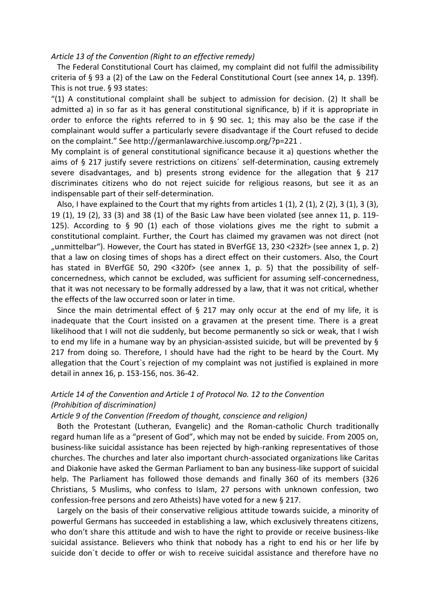#### *Article 13 of the Convention (Right to an effective remedy)*

 The Federal Constitutional Court has claimed, my complaint did not fulfil the admissibility criteria of § 93 a (2) of the Law on the Federal Constitutional Court (see annex 14, p. 139f). This is not true. § 93 states:

"(1) A constitutional complaint shall be subject to admission for decision. (2) It shall be admitted a) in so far as it has general constitutional significance, b) if it is appropriate in order to enforce the rights referred to in § 90 sec. 1; this may also be the case if the complainant would suffer a particularly severe disadvantage if the Court refused to decide on the complaint." See http://germanlawarchive.iuscomp.org/?p=221 .

My complaint is of general constitutional significance because it a) questions whether the aims of § 217 justify severe restrictions on citizens´ self-determination, causing extremely severe disadvantages, and b) presents strong evidence for the allegation that § 217 discriminates citizens who do not reject suicide for religious reasons, but see it as an indispensable part of their self-determination.

Also, I have explained to the Court that my rights from articles 1  $(1)$ , 2  $(1)$ , 2  $(2)$ , 3  $(1)$ , 3  $(3)$ , 19 (1), 19 (2), 33 (3) and 38 (1) of the Basic Law have been violated (see annex 11, p. 119- 125). According to § 90 (1) each of those violations gives me the right to submit a constitutional complaint. Further, the Court has claimed my gravamen was not direct (not "unmittelbar"). However, the Court has stated in BVerfGE 13, 230 <232f> (see annex 1, p. 2) that a law on closing times of shops has a direct effect on their customers. Also, the Court has stated in BVerfGE 50, 290 <320f> (see annex 1, p. 5) that the possibility of selfconcernedness, which cannot be excluded, was sufficient for assuming self-concernedness, that it was not necessary to be formally addressed by a law, that it was not critical, whether the effects of the law occurred soon or later in time.

Since the main detrimental effect of  $\S$  217 may only occur at the end of my life, it is inadequate that the Court insisted on a gravamen at the present time. There is a great likelihood that I will not die suddenly, but become permanently so sick or weak, that I wish to end my life in a humane way by an physician-assisted suicide, but will be prevented by § 217 from doing so. Therefore, I should have had the right to be heard by the Court. My allegation that the Court`s rejection of my complaint was not justified is explained in more detail in annex 16, p. 153-156, nos. 36-42.

### *Article 14 of the Convention and Article 1 of Protocol No. 12 to the Convention (Prohibition of discrimination)*

### *Article 9 of the Convention (Freedom of thought, conscience and religion)*

 Both the Protestant (Lutheran, Evangelic) and the Roman-catholic Church traditionally regard human life as a "present of God", which may not be ended by suicide. From 2005 on, business-like suicidal assistance has been rejected by high-ranking representatives of those churches. The churches and later also important church-associated organizations like Caritas and Diakonie have asked the German Parliament to ban any business-like support of suicidal help. The Parliament has followed those demands and finally 360 of its members (326 Christians, 5 Muslims, who confess to Islam, 27 persons with unknown confession, two confession-free persons and zero Atheists) have voted for a new § 217.

 Largely on the basis of their conservative religious attitude towards suicide, a minority of powerful Germans has succeeded in establishing a law, which exclusively threatens citizens, who don't share this attitude and wish to have the right to provide or receive business-like suicidal assistance. Believers who think that nobody has a right to end his or her life by suicide don´t decide to offer or wish to receive suicidal assistance and therefore have no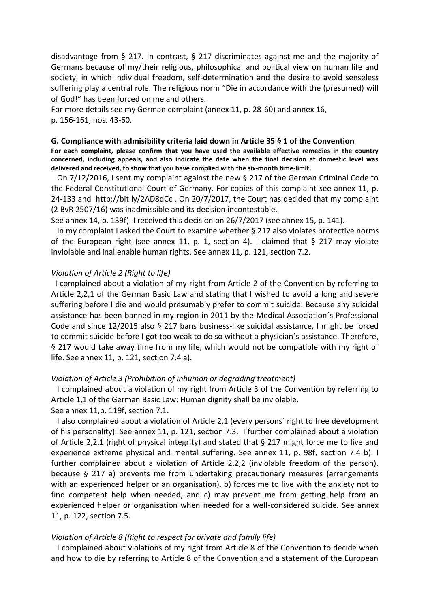disadvantage from § 217. In contrast, § 217 discriminates against me and the majority of Germans because of my/their religious, philosophical and political view on human life and society, in which individual freedom, self-determination and the desire to avoid senseless suffering play a central role. The religious norm "Die in accordance with the (presumed) will of God!" has been forced on me and others.

For more details see my German complaint (annex 11, p. 28-60) and annex 16, p. 156-161, nos. 43-60.

#### **G. Compliance with admisibility criteria laid down in Article 35 § 1 of the Convention**

**For each complaint, please confirm that you have used the available effective remedies in the country concerned, including appeals, and also indicate the date when the final decision at domestic level was delivered and received, to show that you have complied with the six-month time-limit.**

 On 7/12/2016, I sent my complaint against the new § 217 of the German Criminal Code to the Federal Constitutional Court of Germany. For copies of this complaint see annex 11, p. 24-133 and http://bit.ly/2AD8dCc . On 20/7/2017, the Court has decided that my complaint (2 BvR 2507/16) was inadmissible and its decision incontestable.

See annex 14, p. 139f). I received this decision on 26/7/2017 (see annex 15, p. 141).

 In my complaint I asked the Court to examine whether § 217 also violates protective norms of the European right (see annex 11, p. 1, section 4). I claimed that  $\S$  217 may violate inviolable and inalienable human rights. See annex 11, p. 121, section 7.2.

#### *Violation of Article 2 (Right to life)*

 I complained about a violation of my right from Article 2 of the Convention by referring to Article 2,2,1 of the German Basic Law and stating that I wished to avoid a long and severe suffering before I die and would presumably prefer to commit suicide. Because any suicidal assistance has been banned in my region in 2011 by the Medical Association´s Professional Code and since 12/2015 also § 217 bans business-like suicidal assistance, I might be forced to commit suicide before I got too weak to do so without a physician´s assistance. Therefore, § 217 would take away time from my life, which would not be compatible with my right of life. See annex 11, p. 121, section 7.4 a).

#### *Violation of Article 3 (Prohibition of inhuman or degrading treatment)*

 I complained about a violation of my right from Article 3 of the Convention by referring to Article 1,1 of the German Basic Law: Human dignity shall be inviolable. See annex 11,p. 119f, section 7.1.

 I also complained about a violation of Article 2,1 (every persons´ right to free development of his personality). See annex 11, p. 121, section 7.3. I further complained about a violation of Article 2,2,1 (right of physical integrity) and stated that § 217 might force me to live and experience extreme physical and mental suffering. See annex 11, p. 98f, section 7.4 b). I further complained about a violation of Article 2,2,2 (inviolable freedom of the person), because § 217 a) prevents me from undertaking precautionary measures (arrangements with an experienced helper or an organisation), b) forces me to live with the anxiety not to find competent help when needed, and c) may prevent me from getting help from an experienced helper or organisation when needed for a well-considered suicide. See annex 11, p. 122, section 7.5.

#### *Violation of Article 8 (Right to respect for private and family life)*

 I complained about violations of my right from Article 8 of the Convention to decide when and how to die by referring to Article 8 of the Convention and a statement of the European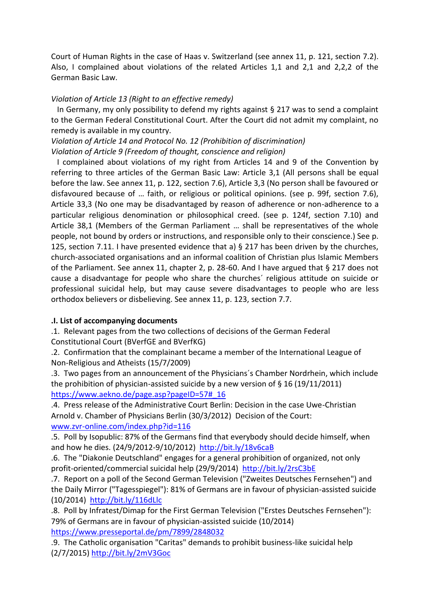Court of Human Rights in the case of Haas v. Switzerland (see annex 11, p. 121, section 7.2). Also, I complained about violations of the related Articles 1,1 and 2,1 and 2,2,2 of the German Basic Law.

## *Violation of Article 13 (Right to an effective remedy)*

In Germany, my only possibility to defend my rights against  $\S 217$  was to send a complaint to the German Federal Constitutional Court. After the Court did not admit my complaint, no remedy is available in my country.

*Violation of Article 14 and Protocol No. 12 (Prohibition of discrimination) Violation of Article 9 (Freedom of thought, conscience and religion)*

 I complained about violations of my right from Articles 14 and 9 of the Convention by referring to three articles of the German Basic Law: Article 3,1 (All persons shall be equal before the law. See annex 11, p. 122, section 7.6), Article 3,3 (No person shall be favoured or disfavoured because of … faith, or religious or political opinions. (see p. 99f, section 7.6), Article 33,3 (No one may be disadvantaged by reason of adherence or non-adherence to a particular religious denomination or philosophical creed. (see p. 124f, section 7.10) and Article 38,1 (Members of the German Parliament … shall be representatives of the whole people, not bound by orders or instructions, and responsible only to their conscience.) See p. 125, section 7.11. I have presented evidence that a) § 217 has been driven by the churches, church-associated organisations and an informal coalition of Christian plus Islamic Members of the Parliament. See annex 11, chapter 2, p. 28-60. And I have argued that § 217 does not cause a disadvantage for people who share the churches´ religious attitude on suicide or professional suicidal help, but may cause severe disadvantages to people who are less orthodox believers or disbelieving. See annex 11, p. 123, section 7.7.

# **.I. List of accompanying documents**

.1. Relevant pages from the two collections of decisions of the German Federal Constitutional Court (BVerfGE and BVerfKG)

.2. Confirmation that the complainant became a member of the International League of Non-Religious and Atheists (15/7/2009)

.3. Two pages from an announcement of the Physicians´s Chamber Nordrhein, which include the prohibition of physician-assisted suicide by a new version of § 16 (19/11/2011) [https://www.aekno.de/page.asp?pageID=57#\\_16](https://www.aekno.de/page.asp?pageID=57#_16)

.4. Press release of the Administrative Court Berlin: Decision in the case Uwe-Christian Arnold v. Chamber of Physicians Berlin (30/3/2012) Decision of the Court: [www.zvr-online.com/index.php?id=116](http://www.zvr-online.com/index.php?id=116)

.5. Poll by Isopublic: 87% of the Germans find that everybody should decide himself, when and how he dies. (24/9/2012-9/10/2012) <http://bit.ly/18v6caB>

.6. The "Diakonie Deutschland" engages for a general prohibition of organized, not only profit-oriented/commercial suicidal help (29/9/2014) <http://bit.ly/2rsC3bE>

.7. Report on a poll of the Second German Television ("Zweites Deutsches Fernsehen") and the Daily Mirror ("Tagesspiegel"): 81% of Germans are in favour of physician-assisted suicide (10/2014) <http://bit.ly/116dLlc>

.8. Poll by Infratest/Dimap for the First German Television ("Erstes Deutsches Fernsehen"): 79% of Germans are in favour of physician-assisted suicide (10/2014) <https://www.presseportal.de/pm/7899/2848032>

.9. The Catholic organisation "Caritas" demands to prohibit business-like suicidal help (2/7/2015) <http://bit.ly/2mV3Goc>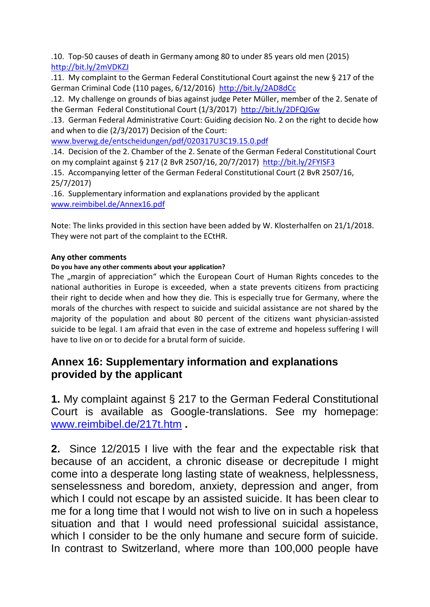.10. Top-50 causes of death in Germany among 80 to under 85 years old men (2015) <http://bit.ly/2mVDKZJ>

.11. My complaint to the German Federal Constitutional Court against the new § 217 of the German Criminal Code (110 pages, 6/12/2016) <http://bit.ly/2AD8dCc>

.12. My challenge on grounds of bias against judge Peter Müller, member of the 2. Senate of the German Federal Constitutional Court (1/3/2017) <http://bit.ly/2DFQJGw>

.13. German Federal Administrative Court: Guiding decision No. 2 on the right to decide how and when to die (2/3/2017) Decision of the Court:

[www.bverwg.de/entscheidungen/pdf/020317U3C19.15.0.pdf](http://www.bverwg.de/entscheidungen/pdf/020317U3C19.15.0.pdf)

.14. Decision of the 2. Chamber of the 2. Senate of the German Federal Constitutional Court on my complaint against § 217 (2 BvR 2507/16, 20/7/2017) <http://bit.ly/2FYISF3>

.15. Accompanying letter of the German Federal Constitutional Court (2 BvR 2507/16, 25/7/2017)

.16. Supplementary information and explanations provided by the applicant [www.reimbibel.de/Annex16.pdf](http://www.reimbibel.de/Annex16.pdf)

Note: The links provided in this section have been added by W. Klosterhalfen on 21/1/2018. They were not part of the complaint to the ECtHR.

# **Any other comments**

# **Do you have any other comments about your application?**

The "margin of appreciation" which the European Court of Human Rights concedes to the national authorities in Europe is exceeded, when a state prevents citizens from practicing their right to decide when and how they die. This is especially true for Germany, where the morals of the churches with respect to suicide and suicidal assistance are not shared by the majority of the population and about 80 percent of the citizens want physician-assisted suicide to be legal. I am afraid that even in the case of extreme and hopeless suffering I will have to live on or to decide for a brutal form of suicide.

# **Annex 16: Supplementary information and explanations provided by the applicant**

**1.** My complaint against § 217 to the German Federal Constitutional Court is available as Google-translations. See my homepage: [www.reimbibel.de/217t.htm](http://www.reimbibel.de/217t.htm) **.**

**2.** Since 12/2015 I live with the fear and the expectable risk that because of an accident, a chronic disease or decrepitude I might come into a desperate long lasting state of weakness, helplessness, senselessness and boredom, anxiety, depression and anger, from which I could not escape by an assisted suicide. It has been clear to me for a long time that I would not wish to live on in such a hopeless situation and that I would need professional suicidal assistance, which I consider to be the only humane and secure form of suicide. In contrast to Switzerland, where more than 100,000 people have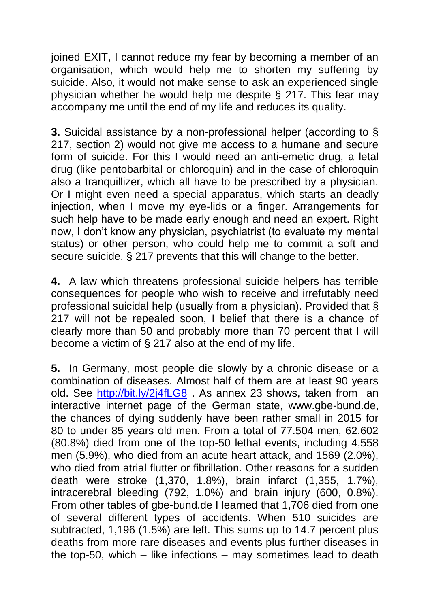joined EXIT, I cannot reduce my fear by becoming a member of an organisation, which would help me to shorten my suffering by suicide. Also, it would not make sense to ask an experienced single physician whether he would help me despite § 217. This fear may accompany me until the end of my life and reduces its quality.

**3.** Suicidal assistance by a non-professional helper (according to § 217, section 2) would not give me access to a humane and secure form of suicide. For this I would need an anti-emetic drug, a letal drug (like pentobarbital or chloroquin) and in the case of chloroquin also a tranquillizer, which all have to be prescribed by a physician. Or I might even need a special apparatus, which starts an deadly injection, when I move my eye-lids or a finger. Arrangements for such help have to be made early enough and need an expert. Right now, I don't know any physician, psychiatrist (to evaluate my mental status) or other person, who could help me to commit a soft and secure suicide. § 217 prevents that this will change to the better.

**4.** A law which threatens professional suicide helpers has terrible consequences for people who wish to receive and irrefutably need professional suicidal help (usually from a physician). Provided that § 217 will not be repealed soon, I belief that there is a chance of clearly more than 50 and probably more than 70 percent that I will become a victim of § 217 also at the end of my life.

**5.** In Germany, most people die slowly by a chronic disease or a combination of diseases. Almost half of them are at least 90 years old. See<http://bit.ly/2j4fLG8> . As annex 23 shows, taken from an interactive internet page of the German state, www.gbe-bund.de, the chances of dying suddenly have been rather small in 2015 for 80 to under 85 years old men. From a total of 77.504 men, 62.602 (80.8%) died from one of the top-50 lethal events, including 4,558 men (5.9%), who died from an acute heart attack, and 1569 (2.0%), who died from atrial flutter or fibrillation. Other reasons for a sudden death were stroke (1,370, 1.8%), brain infarct (1,355, 1.7%), intracerebral bleeding (792, 1.0%) and brain injury (600, 0.8%). From other tables of gbe-bund.de I learned that 1,706 died from one of several different types of accidents. When 510 suicides are subtracted, 1,196 (1.5%) are left. This sums up to 14.7 percent plus deaths from more rare diseases and events plus further diseases in the top-50, which – like infections – may sometimes lead to death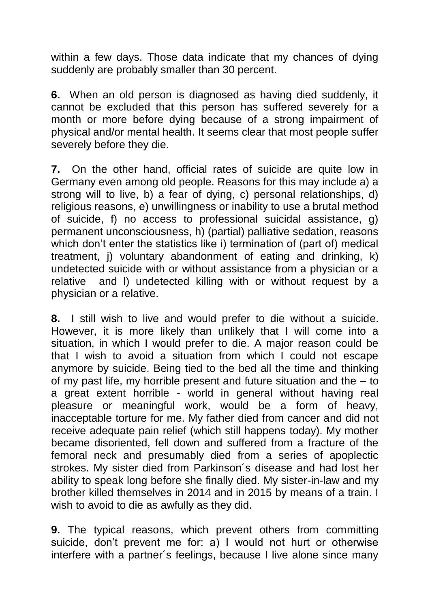within a few days. Those data indicate that my chances of dying suddenly are probably smaller than 30 percent.

**6.** When an old person is diagnosed as having died suddenly, it cannot be excluded that this person has suffered severely for a month or more before dying because of a strong impairment of physical and/or mental health. It seems clear that most people suffer severely before they die.

**7.** On the other hand, official rates of suicide are quite low in Germany even among old people. Reasons for this may include a) a strong will to live, b) a fear of dying, c) personal relationships, d) religious reasons, e) unwillingness or inability to use a brutal method of suicide, f) no access to professional suicidal assistance, g) permanent unconsciousness, h) (partial) palliative sedation, reasons which don't enter the statistics like i) termination of (part of) medical treatment, j) voluntary abandonment of eating and drinking, k) undetected suicide with or without assistance from a physician or a relative and l) undetected killing with or without request by a physician or a relative.

**8.** I still wish to live and would prefer to die without a suicide. However, it is more likely than unlikely that I will come into a situation, in which I would prefer to die. A major reason could be that I wish to avoid a situation from which I could not escape anymore by suicide. Being tied to the bed all the time and thinking of my past life, my horrible present and future situation and the – to a great extent horrible - world in general without having real pleasure or meaningful work, would be a form of heavy, inacceptable torture for me. My father died from cancer and did not receive adequate pain relief (which still happens today). My mother became disoriented, fell down and suffered from a fracture of the femoral neck and presumably died from a series of apoplectic strokes. My sister died from Parkinson´s disease and had lost her ability to speak long before she finally died. My sister-in-law and my brother killed themselves in 2014 and in 2015 by means of a train. I wish to avoid to die as awfully as they did.

**9.** The typical reasons, which prevent others from committing suicide, don't prevent me for: a) I would not hurt or otherwise interfere with a partner´s feelings, because I live alone since many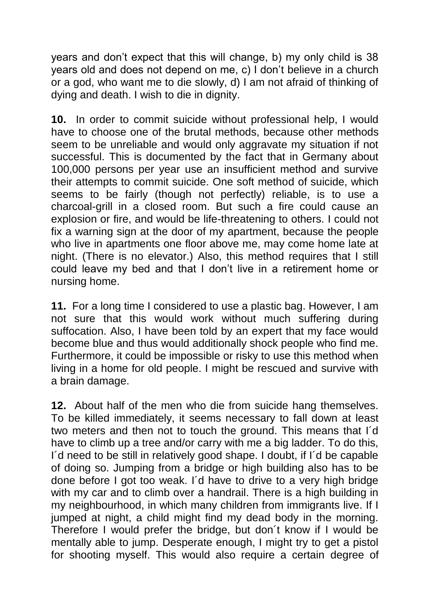years and don't expect that this will change, b) my only child is 38 years old and does not depend on me, c) I don't believe in a church or a god, who want me to die slowly, d) I am not afraid of thinking of dying and death. I wish to die in dignity.

**10.** In order to commit suicide without professional help, I would have to choose one of the brutal methods, because other methods seem to be unreliable and would only aggravate my situation if not successful. This is documented by the fact that in Germany about 100,000 persons per year use an insufficient method and survive their attempts to commit suicide. One soft method of suicide, which seems to be fairly (though not perfectly) reliable, is to use a charcoal-grill in a closed room. But such a fire could cause an explosion or fire, and would be life-threatening to others. I could not fix a warning sign at the door of my apartment, because the people who live in apartments one floor above me, may come home late at night. (There is no elevator.) Also, this method requires that I still could leave my bed and that I don't live in a retirement home or nursing home.

**11.** For a long time I considered to use a plastic bag. However, I am not sure that this would work without much suffering during suffocation. Also, I have been told by an expert that my face would become blue and thus would additionally shock people who find me. Furthermore, it could be impossible or risky to use this method when living in a home for old people. I might be rescued and survive with a brain damage.

**12.** About half of the men who die from suicide hang themselves. To be killed immediately, it seems necessary to fall down at least two meters and then not to touch the ground. This means that I´d have to climb up a tree and/or carry with me a big ladder. To do this, I´d need to be still in relatively good shape. I doubt, if I´d be capable of doing so. Jumping from a bridge or high building also has to be done before I got too weak. I´d have to drive to a very high bridge with my car and to climb over a handrail. There is a high building in my neighbourhood, in which many children from immigrants live. If I jumped at night, a child might find my dead body in the morning. Therefore I would prefer the bridge, but don´t know if I would be mentally able to jump. Desperate enough, I might try to get a pistol for shooting myself. This would also require a certain degree of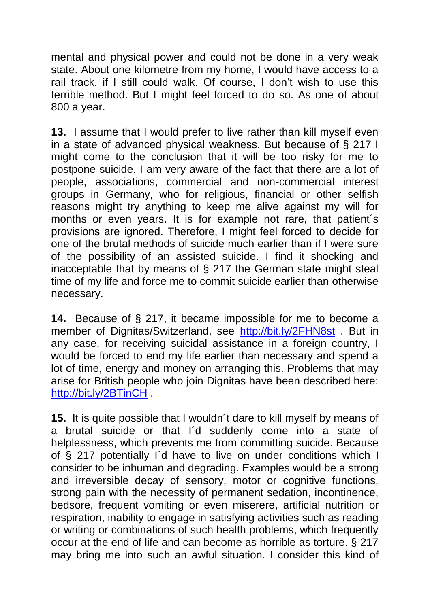mental and physical power and could not be done in a very weak state. About one kilometre from my home, I would have access to a rail track, if I still could walk. Of course, I don't wish to use this terrible method. But I might feel forced to do so. As one of about 800 a year.

**13.** I assume that I would prefer to live rather than kill myself even in a state of advanced physical weakness. But because of § 217 I might come to the conclusion that it will be too risky for me to postpone suicide. I am very aware of the fact that there are a lot of people, associations, commercial and non-commercial interest groups in Germany, who for religious, financial or other selfish reasons might try anything to keep me alive against my will for months or even years. It is for example not rare, that patient´s provisions are ignored. Therefore, I might feel forced to decide for one of the brutal methods of suicide much earlier than if I were sure of the possibility of an assisted suicide. I find it shocking and inacceptable that by means of § 217 the German state might steal time of my life and force me to commit suicide earlier than otherwise necessary.

**14.** Because of § 217, it became impossible for me to become a member of Dignitas/Switzerland, see <http://bit.ly/2FHN8st> . But in any case, for receiving suicidal assistance in a foreign country, I would be forced to end my life earlier than necessary and spend a lot of time, energy and money on arranging this. Problems that may arise for British people who join Dignitas have been described here: <http://bit.ly/2BTinCH> .

**15.** It is quite possible that I wouldn´t dare to kill myself by means of a brutal suicide or that I´d suddenly come into a state of helplessness, which prevents me from committing suicide. Because of § 217 potentially I´d have to live on under conditions which I consider to be inhuman and degrading. Examples would be a strong and irreversible decay of sensory, motor or cognitive functions, strong pain with the necessity of permanent sedation, incontinence, bedsore, frequent vomiting or even miserere, artificial nutrition or respiration, inability to engage in satisfying activities such as reading or writing or combinations of such health problems, which frequently occur at the end of life and can become as horrible as torture. § 217 may bring me into such an awful situation. I consider this kind of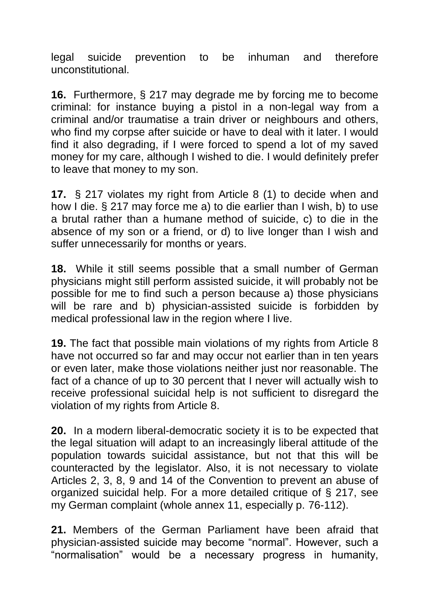legal suicide prevention to be inhuman and therefore unconstitutional.

**16.** Furthermore, § 217 may degrade me by forcing me to become criminal: for instance buying a pistol in a non-legal way from a criminal and/or traumatise a train driver or neighbours and others, who find my corpse after suicide or have to deal with it later. I would find it also degrading, if I were forced to spend a lot of my saved money for my care, although I wished to die. I would definitely prefer to leave that money to my son.

**17.** § 217 violates my right from Article 8 (1) to decide when and how I die. § 217 may force me a) to die earlier than I wish, b) to use a brutal rather than a humane method of suicide, c) to die in the absence of my son or a friend, or d) to live longer than I wish and suffer unnecessarily for months or years.

**18.** While it still seems possible that a small number of German physicians might still perform assisted suicide, it will probably not be possible for me to find such a person because a) those physicians will be rare and b) physician-assisted suicide is forbidden by medical professional law in the region where I live.

**19.** The fact that possible main violations of my rights from Article 8 have not occurred so far and may occur not earlier than in ten years or even later, make those violations neither just nor reasonable. The fact of a chance of up to 30 percent that I never will actually wish to receive professional suicidal help is not sufficient to disregard the violation of my rights from Article 8.

**20.** In a modern liberal-democratic society it is to be expected that the legal situation will adapt to an increasingly liberal attitude of the population towards suicidal assistance, but not that this will be counteracted by the legislator. Also, it is not necessary to violate Articles 2, 3, 8, 9 and 14 of the Convention to prevent an abuse of organized suicidal help. For a more detailed critique of § 217, see my German complaint (whole annex 11, especially p. 76-112).

**21.** Members of the German Parliament have been afraid that physician-assisted suicide may become "normal". However, such a "normalisation" would be a necessary progress in humanity,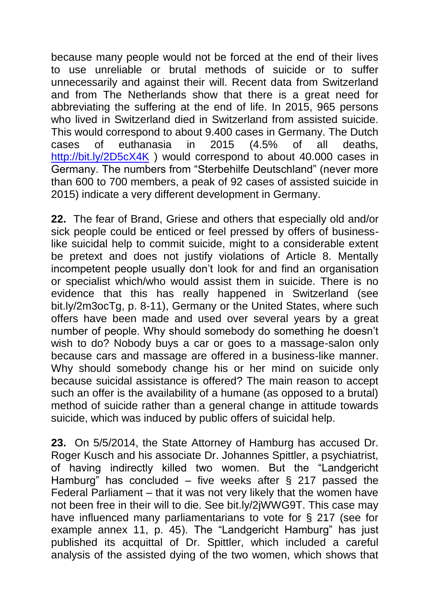because many people would not be forced at the end of their lives to use unreliable or brutal methods of suicide or to suffer unnecessarily and against their will. Recent data from Switzerland and from The Netherlands show that there is a great need for abbreviating the suffering at the end of life. In 2015, 965 persons who lived in Switzerland died in Switzerland from assisted suicide. This would correspond to about 9.400 cases in Germany. The Dutch cases of euthanasia in 2015 (4.5% of all deaths, <http://bit.ly/2D5cX4K> ) would correspond to about 40.000 cases in Germany. The numbers from "Sterbehilfe Deutschland" (never more than 600 to 700 members, a peak of 92 cases of assisted suicide in 2015) indicate a very different development in Germany.

**22.** The fear of Brand, Griese and others that especially old and/or sick people could be enticed or feel pressed by offers of businesslike suicidal help to commit suicide, might to a considerable extent be pretext and does not justify violations of Article 8. Mentally incompetent people usually don't look for and find an organisation or specialist which/who would assist them in suicide. There is no evidence that this has really happened in Switzerland (see bit.ly/2m3ocTg, p. 8-11), Germany or the United States, where such offers have been made and used over several years by a great number of people. Why should somebody do something he doesn't wish to do? Nobody buys a car or goes to a massage-salon only because cars and massage are offered in a business-like manner. Why should somebody change his or her mind on suicide only because suicidal assistance is offered? The main reason to accept such an offer is the availability of a humane (as opposed to a brutal) method of suicide rather than a general change in attitude towards suicide, which was induced by public offers of suicidal help.

**23.** On 5/5/2014, the State Attorney of Hamburg has accused Dr. Roger Kusch and his associate Dr. Johannes Spittler, a psychiatrist, of having indirectly killed two women. But the "Landgericht Hamburg" has concluded – five weeks after  $\S$  217 passed the Federal Parliament – that it was not very likely that the women have not been free in their will to die. See bit.ly/2jWWG9T. This case may have influenced many parliamentarians to vote for § 217 (see for example annex 11, p. 45). The "Landgericht Hamburg" has just published its acquittal of Dr. Spittler, which included a careful analysis of the assisted dying of the two women, which shows that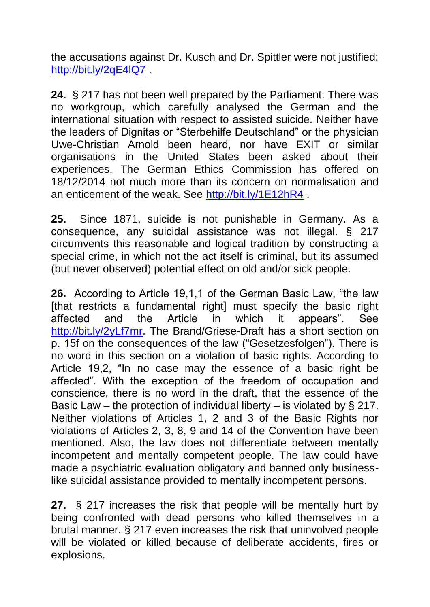the accusations against Dr. Kusch and Dr. Spittler were not justified: <http://bit.ly/2qE4lQ7> .

**24.** § 217 has not been well prepared by the Parliament. There was no workgroup, which carefully analysed the German and the international situation with respect to assisted suicide. Neither have the leaders of Dignitas or "Sterbehilfe Deutschland" or the physician Uwe-Christian Arnold been heard, nor have EXIT or similar organisations in the United States been asked about their experiences. The German Ethics Commission has offered on 18/12/2014 not much more than its concern on normalisation and an enticement of the weak. See<http://bit.ly/1E12hR4>.

**25.** Since 1871, suicide is not punishable in Germany. As a consequence, any suicidal assistance was not illegal. § 217 circumvents this reasonable and logical tradition by constructing a special crime, in which not the act itself is criminal, but its assumed (but never observed) potential effect on old and/or sick people.

**26.** According to Article 19,1,1 of the German Basic Law, "the law [that restricts a fundamental right] must specify the basic right affected and the Article in which it appears". See [http://bit.ly/2yLf7mr.](http://bit.ly/2yLf7mr) The Brand/Griese-Draft has a short section on p. 15f on the consequences of the law ("Gesetzesfolgen"). There is no word in this section on a violation of basic rights. According to Article 19,2, "In no case may the essence of a basic right be affected". With the exception of the freedom of occupation and conscience, there is no word in the draft, that the essence of the Basic Law – the protection of individual liberty – is violated by § 217. Neither violations of Articles 1, 2 and 3 of the Basic Rights nor violations of Articles 2, 3, 8, 9 and 14 of the Convention have been mentioned. Also, the law does not differentiate between mentally incompetent and mentally competent people. The law could have made a psychiatric evaluation obligatory and banned only businesslike suicidal assistance provided to mentally incompetent persons.

**27.** § 217 increases the risk that people will be mentally hurt by being confronted with dead persons who killed themselves in a brutal manner. § 217 even increases the risk that uninvolved people will be violated or killed because of deliberate accidents, fires or explosions.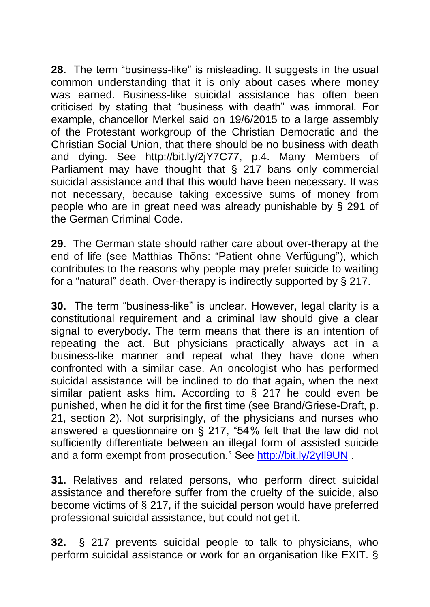**28.** The term "business-like" is misleading. It suggests in the usual common understanding that it is only about cases where money was earned. Business-like suicidal assistance has often been criticised by stating that "business with death" was immoral. For example, chancellor Merkel said on 19/6/2015 to a large assembly of the Protestant workgroup of the Christian Democratic and the Christian Social Union, that there should be no business with death and dying. See http://bit.ly/2jY7C77, p.4. Many Members of Parliament may have thought that § 217 bans only commercial suicidal assistance and that this would have been necessary. It was not necessary, because taking excessive sums of money from people who are in great need was already punishable by § 291 of the German Criminal Code.

**29.** The German state should rather care about over-therapy at the end of life (see Matthias Thöns: "Patient ohne Verfügung"), which contributes to the reasons why people may prefer suicide to waiting for a "natural" death. Over-therapy is indirectly supported by § 217.

**30.** The term "business-like" is unclear. However, legal clarity is a constitutional requirement and a criminal law should give a clear signal to everybody. The term means that there is an intention of repeating the act. But physicians practically always act in a business-like manner and repeat what they have done when confronted with a similar case. An oncologist who has performed suicidal assistance will be inclined to do that again, when the next similar patient asks him. According to § 217 he could even be punished, when he did it for the first time (see Brand/Griese-Draft, p. 21, section 2). Not surprisingly, of the physicians and nurses who answered a questionnaire on § 217, "54 % felt that the law did not sufficiently differentiate between an illegal form of assisted suicide and a form exempt from prosecution." See<http://bit.ly/2yIl9UN> .

**31.** Relatives and related persons, who perform direct suicidal assistance and therefore suffer from the cruelty of the suicide, also become victims of § 217, if the suicidal person would have preferred professional suicidal assistance, but could not get it.

**32.** § 217 prevents suicidal people to talk to physicians, who perform suicidal assistance or work for an organisation like EXIT. §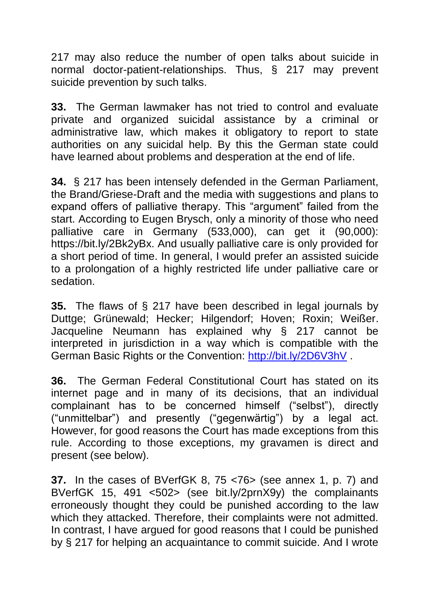217 may also reduce the number of open talks about suicide in normal doctor-patient-relationships. Thus, § 217 may prevent suicide prevention by such talks.

**33.** The German lawmaker has not tried to control and evaluate private and organized suicidal assistance by a criminal or administrative law, which makes it obligatory to report to state authorities on any suicidal help. By this the German state could have learned about problems and desperation at the end of life.

**34.** § 217 has been intensely defended in the German Parliament, the Brand/Griese-Draft and the media with suggestions and plans to expand offers of palliative therapy. This "argument" failed from the start. According to Eugen Brysch, only a minority of those who need palliative care in Germany (533,000), can get it (90,000): https://bit.ly/2Bk2yBx. And usually palliative care is only provided for a short period of time. In general, I would prefer an assisted suicide to a prolongation of a highly restricted life under palliative care or sedation.

**35.** The flaws of § 217 have been described in legal journals by Duttge; Grünewald; Hecker; Hilgendorf; Hoven; Roxin; Weißer. Jacqueline Neumann has explained why § 217 cannot be interpreted in jurisdiction in a way which is compatible with the German Basic Rights or the Convention:<http://bit.ly/2D6V3hV> .

**36.** The German Federal Constitutional Court has stated on its internet page and in many of its decisions, that an individual complainant has to be concerned himself ("selbst"), directly ("unmittelbar") and presently ("gegenwärtig") by a legal act. However, for good reasons the Court has made exceptions from this rule. According to those exceptions, my gravamen is direct and present (see below).

**37.** In the cases of BVerfGK 8, 75 <76> (see annex 1, p. 7) and BVerfGK 15, 491 <502> (see bit.ly/2prnX9y) the complainants erroneously thought they could be punished according to the law which they attacked. Therefore, their complaints were not admitted. In contrast, I have argued for good reasons that I could be punished by § 217 for helping an acquaintance to commit suicide. And I wrote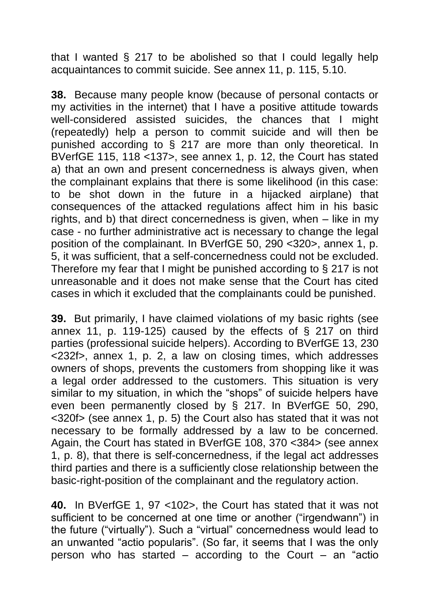that I wanted § 217 to be abolished so that I could legally help acquaintances to commit suicide. See annex 11, p. 115, 5.10.

**38.** Because many people know (because of personal contacts or my activities in the internet) that I have a positive attitude towards well-considered assisted suicides, the chances that I might (repeatedly) help a person to commit suicide and will then be punished according to § 217 are more than only theoretical. In BVerfGE 115, 118 <137>, see annex 1, p. 12, the Court has stated a) that an own and present concernedness is always given, when the complainant explains that there is some likelihood (in this case: to be shot down in the future in a hijacked airplane) that consequences of the attacked regulations affect him in his basic rights, and b) that direct concernedness is given, when – like in my case - no further administrative act is necessary to change the legal position of the complainant. In BVerfGE 50, 290 <320>, annex 1, p. 5, it was sufficient, that a self-concernedness could not be excluded. Therefore my fear that I might be punished according to § 217 is not unreasonable and it does not make sense that the Court has cited cases in which it excluded that the complainants could be punished.

**39.** But primarily, I have claimed violations of my basic rights (see annex 11, p. 119-125) caused by the effects of § 217 on third parties (professional suicide helpers). According to BVerfGE 13, 230 <232f>, annex 1, p. 2, a law on closing times, which addresses owners of shops, prevents the customers from shopping like it was a legal order addressed to the customers. This situation is very similar to my situation, in which the "shops" of suicide helpers have even been permanently closed by § 217. In BVerfGE 50, 290, <320f> (see annex 1, p. 5) the Court also has stated that it was not necessary to be formally addressed by a law to be concerned. Again, the Court has stated in BVerfGE 108, 370 <384> (see annex 1, p. 8), that there is self-concernedness, if the legal act addresses third parties and there is a sufficiently close relationship between the basic-right-position of the complainant and the regulatory action.

**40.** In BVerfGE 1, 97 <102>, the Court has stated that it was not sufficient to be concerned at one time or another ("irgendwann") in the future ("virtually"). Such a "virtual" concernedness would lead to an unwanted "actio popularis". (So far, it seems that I was the only person who has started – according to the Court – an "actio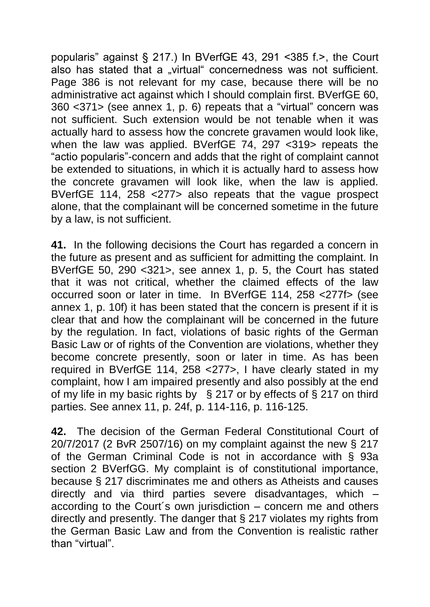popularis" against § 217.) In BVerfGE 43, 291 <385 f.>, the Court also has stated that a "virtual" concernedness was not sufficient. Page 386 is not relevant for my case, because there will be no administrative act against which I should complain first. BVerfGE 60, 360 <371> (see annex 1, p. 6) repeats that a "virtual" concern was not sufficient. Such extension would be not tenable when it was actually hard to assess how the concrete gravamen would look like, when the law was applied. BVerfGE 74, 297 <319> repeats the "actio popularis"-concern and adds that the right of complaint cannot be extended to situations, in which it is actually hard to assess how the concrete gravamen will look like, when the law is applied. BVerfGE 114, 258 <277> also repeats that the vague prospect alone, that the complainant will be concerned sometime in the future by a law, is not sufficient.

**41.** In the following decisions the Court has regarded a concern in the future as present and as sufficient for admitting the complaint. In BVerfGE 50, 290 <321>, see annex 1, p. 5, the Court has stated that it was not critical, whether the claimed effects of the law occurred soon or later in time. In BVerfGE 114, 258 <277f> (see annex 1, p. 10f) it has been stated that the concern is present if it is clear that and how the complainant will be concerned in the future by the regulation. In fact, violations of basic rights of the German Basic Law or of rights of the Convention are violations, whether they become concrete presently, soon or later in time. As has been required in BVerfGE 114, 258 <277>, I have clearly stated in my complaint, how I am impaired presently and also possibly at the end of my life in my basic rights by § 217 or by effects of § 217 on third parties. See annex 11, p. 24f, p. 114-116, p. 116-125.

**42.** The decision of the German Federal Constitutional Court of 20/7/2017 (2 BvR 2507/16) on my complaint against the new § 217 of the German Criminal Code is not in accordance with § 93a section 2 BVerfGG. My complaint is of constitutional importance, because § 217 discriminates me and others as Atheists and causes directly and via third parties severe disadvantages, which – according to the Court´s own jurisdiction – concern me and others directly and presently. The danger that § 217 violates my rights from the German Basic Law and from the Convention is realistic rather than "virtual".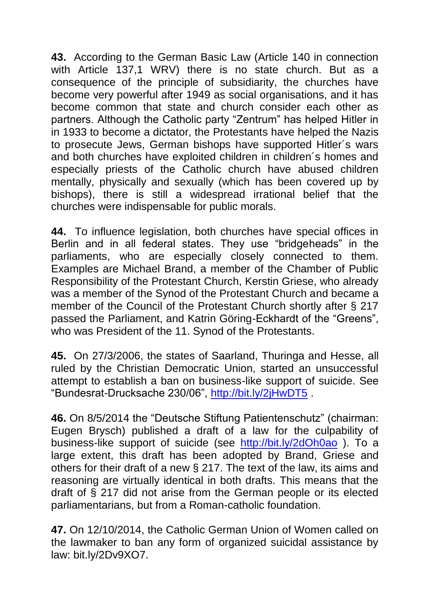**43.** According to the German Basic Law (Article 140 in connection with Article 137,1 WRV) there is no state church. But as a consequence of the principle of subsidiarity, the churches have become very powerful after 1949 as social organisations, and it has become common that state and church consider each other as partners. Although the Catholic party "Zentrum" has helped Hitler in in 1933 to become a dictator, the Protestants have helped the Nazis to prosecute Jews, German bishops have supported Hitler´s wars and both churches have exploited children in children´s homes and especially priests of the Catholic church have abused children mentally, physically and sexually (which has been covered up by bishops), there is still a widespread irrational belief that the churches were indispensable for public morals.

**44.** To influence legislation, both churches have special offices in Berlin and in all federal states. They use "bridgeheads" in the parliaments, who are especially closely connected to them. Examples are Michael Brand, a member of the Chamber of Public Responsibility of the Protestant Church, Kerstin Griese, who already was a member of the Synod of the Protestant Church and became a member of the Council of the Protestant Church shortly after § 217 passed the Parliament, and Katrin Göring-Eckhardt of the "Greens", who was President of the 11. Synod of the Protestants.

**45.** On 27/3/2006, the states of Saarland, Thuringa and Hesse, all ruled by the Christian Democratic Union, started an unsuccessful attempt to establish a ban on business-like support of suicide. See "Bundesrat-Drucksache 230/06",<http://bit.ly/2jHwDT5> .

**46.** On 8/5/2014 the "Deutsche Stiftung Patientenschutz" (chairman: Eugen Brysch) published a draft of a law for the culpability of business-like support of suicide (see <http://bit.ly/2dOh0ao> ). To a large extent, this draft has been adopted by Brand, Griese and others for their draft of a new § 217. The text of the law, its aims and reasoning are virtually identical in both drafts. This means that the draft of § 217 did not arise from the German people or its elected parliamentarians, but from a Roman-catholic foundation.

**47.** On 12/10/2014, the Catholic German Union of Women called on the lawmaker to ban any form of organized suicidal assistance by law: bit.ly/2Dv9XO7.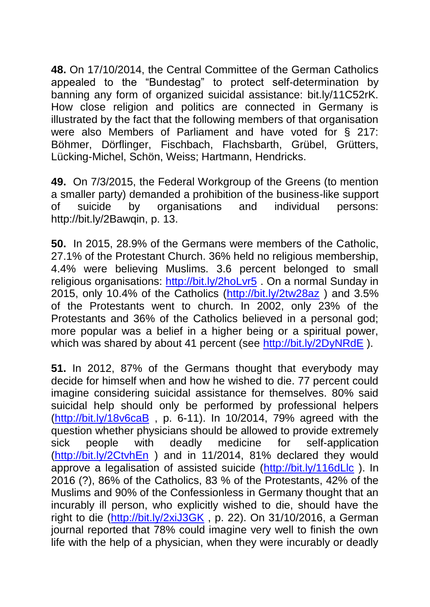**48.** On 17/10/2014, the Central Committee of the German Catholics appealed to the "Bundestag" to protect self-determination by banning any form of organized suicidal assistance: bit.ly/11C52rK. How close religion and politics are connected in Germany is illustrated by the fact that the following members of that organisation were also Members of Parliament and have voted for § 217: Böhmer, Dörflinger, Fischbach, Flachsbarth, Grübel, Grütters, Lücking-Michel, Schön, Weiss; Hartmann, Hendricks.

**49.** On 7/3/2015, the Federal Workgroup of the Greens (to mention a smaller party) demanded a prohibition of the business-like support of suicide by organisations and individual persons: http://bit.ly/2Bawqin, p. 13.

**50.** In 2015, 28.9% of the Germans were members of the Catholic, 27.1% of the Protestant Church. 36% held no religious membership, 4.4% were believing Muslims. 3.6 percent belonged to small religious organisations:<http://bit.ly/2hoLvr5> . On a normal Sunday in 2015, only 10.4% of the Catholics [\(http://bit.ly/2tw28az](http://bit.ly/2tw28az) ) and 3.5% of the Protestants went to church. In 2002, only 23% of the Protestants and 36% of the Catholics believed in a personal god; more popular was a belief in a higher being or a spiritual power, which was shared by about 41 percent (see<http://bit.ly/2DyNRdE>).

**51.** In 2012, 87% of the Germans thought that everybody may decide for himself when and how he wished to die. 77 percent could imagine considering suicidal assistance for themselves. 80% said suicidal help should only be performed by professional helpers [\(http://bit.ly/18v6caB](http://bit.ly/18v6caB) , p. 6-11). In 10/2014, 79% agreed with the question whether physicians should be allowed to provide extremely sick people with deadly medicine for self-application [\(http://bit.ly/2CtvhEn](http://bit.ly/2CtvhEn) ) and in 11/2014, 81% declared they would approve a legalisation of assisted suicide [\(http://bit.ly/116dLlc](http://bit.ly/116dLlc)). In 2016 (?), 86% of the Catholics, 83 % of the Protestants, 42% of the Muslims and 90% of the Confessionless in Germany thought that an incurably ill person, who explicitly wished to die, should have the right to die [\(http://bit.ly/2xiJ3GK](http://bit.ly/2xiJ3GK) , p. 22). On 31/10/2016, a German journal reported that 78% could imagine very well to finish the own life with the help of a physician, when they were incurably or deadly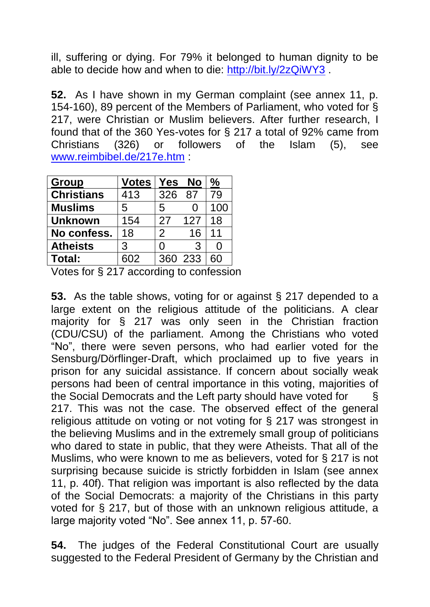ill, suffering or dying. For 79% it belonged to human dignity to be able to decide how and when to die:<http://bit.ly/2zQiWY3> .

**52.** As I have shown in my German complaint (see annex 11, p. 154-160), 89 percent of the Members of Parliament, who voted for § 217, were Christian or Muslim believers. After further research, I found that of the 360 Yes-votes for § 217 a total of 92% came from Christians (326) or followers of the Islam (5), see [www.reimbibel.de/217e.htm](http://www.reimbibel.de/217e.htm) :

| Group             | <b>Votes</b> | Yes     | No  | ℅                 |
|-------------------|--------------|---------|-----|-------------------|
| <b>Christians</b> | 413          | 326     | 87  | 79                |
| <b>Muslims</b>    | 5            | 5       |     | 100               |
| <b>Unknown</b>    | 154          | 27      | 127 | 18                |
| No confess.       | 18           | 2       | 16  | 11                |
| <b>Atheists</b>   | 3            | 0       | 3   | $\mathbf{\Omega}$ |
| Total:            | 602          | 360 233 |     | 60                |

Votes for § 217 according to confession

**53.** As the table shows, voting for or against § 217 depended to a large extent on the religious attitude of the politicians. A clear majority for § 217 was only seen in the Christian fraction (CDU/CSU) of the parliament. Among the Christians who voted "No", there were seven persons, who had earlier voted for the Sensburg/Dörflinger-Draft, which proclaimed up to five years in prison for any suicidal assistance. If concern about socially weak persons had been of central importance in this voting, majorities of the Social Democrats and the Left party should have voted for § 217. This was not the case. The observed effect of the general religious attitude on voting or not voting for § 217 was strongest in the believing Muslims and in the extremely small group of politicians who dared to state in public, that they were Atheists. That all of the Muslims, who were known to me as believers, voted for § 217 is not surprising because suicide is strictly forbidden in Islam (see annex 11, p. 40f). That religion was important is also reflected by the data of the Social Democrats: a majority of the Christians in this party voted for § 217, but of those with an unknown religious attitude, a large majority voted "No". See annex 11, p. 57-60.

**54.** The judges of the Federal Constitutional Court are usually suggested to the Federal President of Germany by the Christian and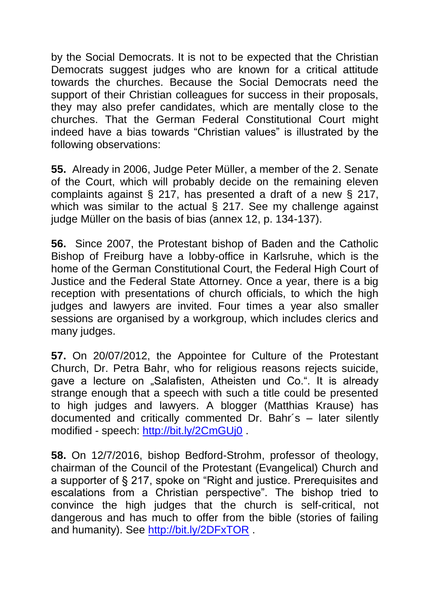by the Social Democrats. It is not to be expected that the Christian Democrats suggest judges who are known for a critical attitude towards the churches. Because the Social Democrats need the support of their Christian colleagues for success in their proposals, they may also prefer candidates, which are mentally close to the churches. That the German Federal Constitutional Court might indeed have a bias towards "Christian values" is illustrated by the following observations:

**55.** Already in 2006, Judge Peter Müller, a member of the 2. Senate of the Court, which will probably decide on the remaining eleven complaints against § 217, has presented a draft of a new § 217, which was similar to the actual § 217. See my challenge against judge Müller on the basis of bias (annex 12, p. 134-137).

**56.** Since 2007, the Protestant bishop of Baden and the Catholic Bishop of Freiburg have a lobby-office in Karlsruhe, which is the home of the German Constitutional Court, the Federal High Court of Justice and the Federal State Attorney. Once a year, there is a big reception with presentations of church officials, to which the high judges and lawyers are invited. Four times a year also smaller sessions are organised by a workgroup, which includes clerics and many judges.

**57.** On 20/07/2012, the Appointee for Culture of the Protestant Church, Dr. Petra Bahr, who for religious reasons rejects suicide, gave a lecture on "Salafisten, Atheisten und Co.". It is already strange enough that a speech with such a title could be presented to high judges and lawyers. A blogger (Matthias Krause) has documented and critically commented Dr. Bahr´s – later silently modified - speech:<http://bit.ly/2CmGUj0> .

**58.** On 12/7/2016, bishop Bedford-Strohm, professor of theology, chairman of the Council of the Protestant (Evangelical) Church and a supporter of § 217, spoke on "Right and justice. Prerequisites and escalations from a Christian perspective". The bishop tried to convince the high judges that the church is self-critical, not dangerous and has much to offer from the bible (stories of failing and humanity). See<http://bit.ly/2DFxTOR>.